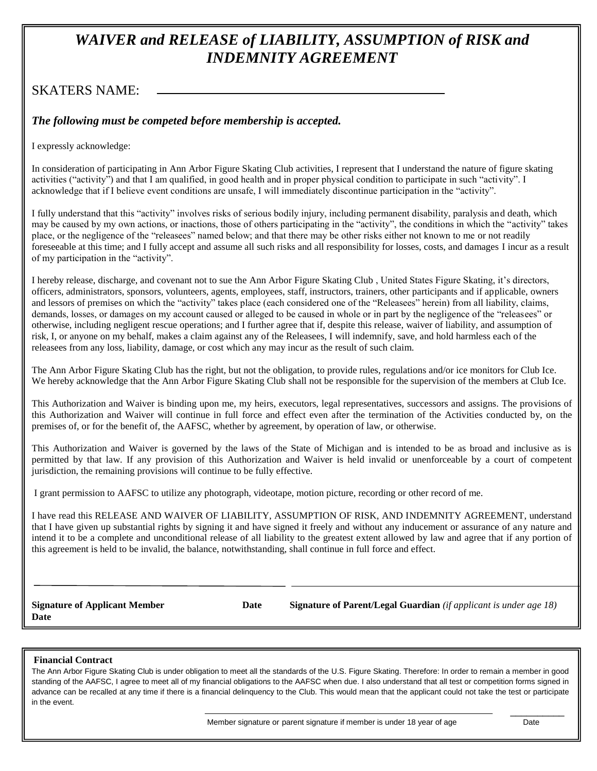# *WAIVER and RELEASE of LIABILITY, ASSUMPTION of RISK and INDEMNITY AGREEMENT*

## SKATERS NAME:

## *The following must be competed before membership is accepted.*

I expressly acknowledge:

In consideration of participating in Ann Arbor Figure Skating Club activities, I represent that I understand the nature of figure skating activities ("activity") and that I am qualified, in good health and in proper physical condition to participate in such "activity". I acknowledge that if I believe event conditions are unsafe, I will immediately discontinue participation in the "activity".

I fully understand that this "activity" involves risks of serious bodily injury, including permanent disability, paralysis and death, which may be caused by my own actions, or inactions, those of others participating in the "activity", the conditions in which the "activity" takes place, or the negligence of the "releasees" named below; and that there may be other risks either not known to me or not readily foreseeable at this time; and I fully accept and assume all such risks and all responsibility for losses, costs, and damages I incur as a result of my participation in the "activity".

I hereby release, discharge, and covenant not to sue the Ann Arbor Figure Skating Club , United States Figure Skating, it's directors, officers, administrators, sponsors, volunteers, agents, employees, staff, instructors, trainers, other participants and if applicable, owners and lessors of premises on which the "activity" takes place (each considered one of the "Releasees" herein) from all liability, claims, demands, losses, or damages on my account caused or alleged to be caused in whole or in part by the negligence of the "releasees" or otherwise, including negligent rescue operations; and I further agree that if, despite this release, waiver of liability, and assumption of risk, I, or anyone on my behalf, makes a claim against any of the Releasees, I will indemnify, save, and hold harmless each of the releasees from any loss, liability, damage, or cost which any may incur as the result of such claim.

The Ann Arbor Figure Skating Club has the right, but not the obligation, to provide rules, regulations and/or ice monitors for Club Ice. We hereby acknowledge that the Ann Arbor Figure Skating Club shall not be responsible for the supervision of the members at Club Ice.

This Authorization and Waiver is binding upon me, my heirs, executors, legal representatives, successors and assigns. The provisions of this Authorization and Waiver will continue in full force and effect even after the termination of the Activities conducted by, on the premises of, or for the benefit of, the AAFSC, whether by agreement, by operation of law, or otherwise.

This Authorization and Waiver is governed by the laws of the State of Michigan and is intended to be as broad and inclusive as is permitted by that law. If any provision of this Authorization and Waiver is held invalid or unenforceable by a court of competent jurisdiction, the remaining provisions will continue to be fully effective.

I grant permission to AAFSC to utilize any photograph, videotape, motion picture, recording or other record of me.

I have read this RELEASE AND WAIVER OF LIABILITY, ASSUMPTION OF RISK, AND INDEMNITY AGREEMENT, understand that I have given up substantial rights by signing it and have signed it freely and without any inducement or assurance of any nature and intend it to be a complete and unconditional release of all liability to the greatest extent allowed by law and agree that if any portion of this agreement is held to be invalid, the balance, notwithstanding, shall continue in full force and effect.

**Date**

**Signature of Applicant Member Date Signature of Parent/Legal Guardian** *(if applicant is under age 18)* 

#### **Financial Contract**

The Ann Arbor Figure Skating Club is under obligation to meet all the standards of the U.S. Figure Skating. Therefore: In order to remain a member in good standing of the AAFSC, I agree to meet all of my financial obligations to the AAFSC when due. I also understand that all test or competition forms signed in advance can be recalled at any time if there is a financial delinquency to the Club. This would mean that the applicant could not take the test or participate in the event.

 $\overline{\phantom{a}}$  , and the contract of the contract of the contract of the contract of the contract of the contract of the contract of the contract of the contract of the contract of the contract of the contract of the contrac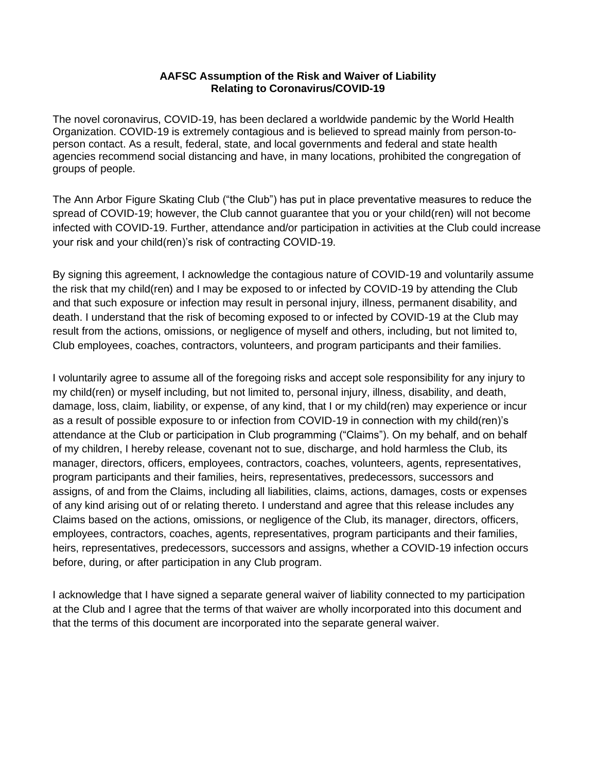## **AAFSC Assumption of the Risk and Waiver of Liability Relating to Coronavirus/COVID-19**

The novel coronavirus, COVID-19, has been declared a worldwide pandemic by the World Health Organization. COVID-19 is extremely contagious and is believed to spread mainly from person-toperson contact. As a result, federal, state, and local governments and federal and state health agencies recommend social distancing and have, in many locations, prohibited the congregation of groups of people.

The Ann Arbor Figure Skating Club ("the Club") has put in place preventative measures to reduce the spread of COVID-19; however, the Club cannot guarantee that you or your child(ren) will not become infected with COVID-19. Further, attendance and/or participation in activities at the Club could increase your risk and your child(ren)'s risk of contracting COVID-19.

By signing this agreement, I acknowledge the contagious nature of COVID-19 and voluntarily assume the risk that my child(ren) and I may be exposed to or infected by COVID-19 by attending the Club and that such exposure or infection may result in personal injury, illness, permanent disability, and death. I understand that the risk of becoming exposed to or infected by COVID-19 at the Club may result from the actions, omissions, or negligence of myself and others, including, but not limited to, Club employees, coaches, contractors, volunteers, and program participants and their families.

I voluntarily agree to assume all of the foregoing risks and accept sole responsibility for any injury to my child(ren) or myself including, but not limited to, personal injury, illness, disability, and death, damage, loss, claim, liability, or expense, of any kind, that I or my child(ren) may experience or incur as a result of possible exposure to or infection from COVID-19 in connection with my child(ren)'s attendance at the Club or participation in Club programming ("Claims"). On my behalf, and on behalf of my children, I hereby release, covenant not to sue, discharge, and hold harmless the Club, its manager, directors, officers, employees, contractors, coaches, volunteers, agents, representatives, program participants and their families, heirs, representatives, predecessors, successors and assigns, of and from the Claims, including all liabilities, claims, actions, damages, costs or expenses of any kind arising out of or relating thereto. I understand and agree that this release includes any Claims based on the actions, omissions, or negligence of the Club, its manager, directors, officers, employees, contractors, coaches, agents, representatives, program participants and their families, heirs, representatives, predecessors, successors and assigns, whether a COVID-19 infection occurs before, during, or after participation in any Club program.

I acknowledge that I have signed a separate general waiver of liability connected to my participation at the Club and I agree that the terms of that waiver are wholly incorporated into this document and that the terms of this document are incorporated into the separate general waiver.